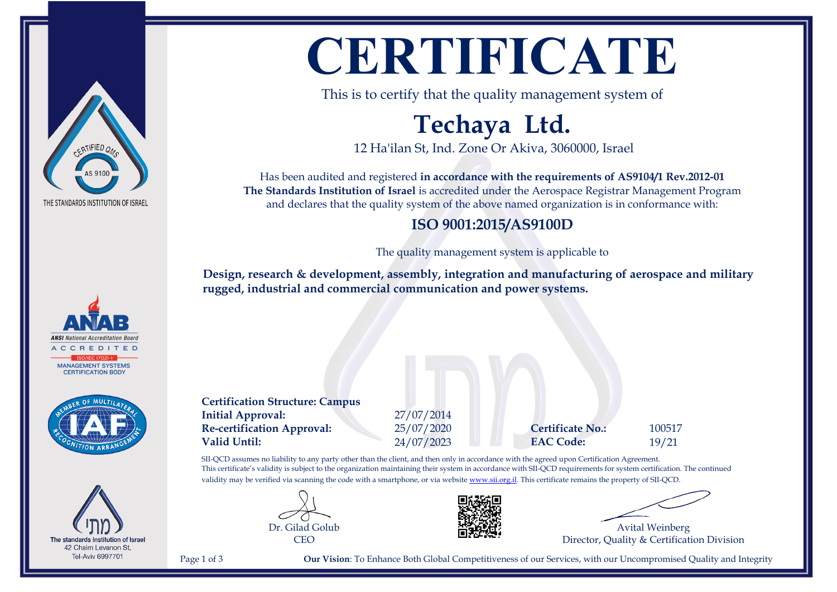

**ANSI** National Accreditation Boar  $DITET$ **MANAGEMENT SYSTEMS** CERTIFICATION RODY



The standards Institution of Israel 42 Chaim Levanon St, **Tel-Aviv 6997701** 

# **CERTIFICATE**

This is to certify that the quality management system of

## **Techaya Ltd.**

12 Ha'ilan St, Ind. Zone Or Akiva, 3060000, Israel

Has been audited and registered **in accordance with the requirements of AS9104/1 Rev.2012-01 The Standards Institution of Israel** is accredited under the Aerospace Registrar Management Program and declares that the quality system of the above named organization is in conformance with:

### **ISO 9001:2015/AS9100D**

The quality management system is applicable to

**Design, research & development, assembly, integration and manufacturing of aerospace and military rugged, industrial and commercial communication and power systems.**

**Certification Structure: Campus Initial Approval:** 27/07/2014 **Re-certification Approval:** 25/07/2020 **Certificate No.:** 100517 **Valid Until:** 24/07/2023 **EAC Code:** 19/21

SII-QCD assumes no liability to any party other than the client, and then only in accordance with the agreed upon Certification Agreement. This certificate's validity is subject to the organization maintaining their system in accordance with SII-QCD requirements for system certification. The continued validity may be verified via scanning the code with a smartphone, or via website [www.sii.org.il.](http://www.sii.org.il) This certificate remains the property of SII-QCD.





Avital Weinberg Director, Quality & Certification Division

Page 1 of 3 **Our Vision**: To Enhance Both Global Competitiveness of our Services, with our Uncompromised Quality and Integrity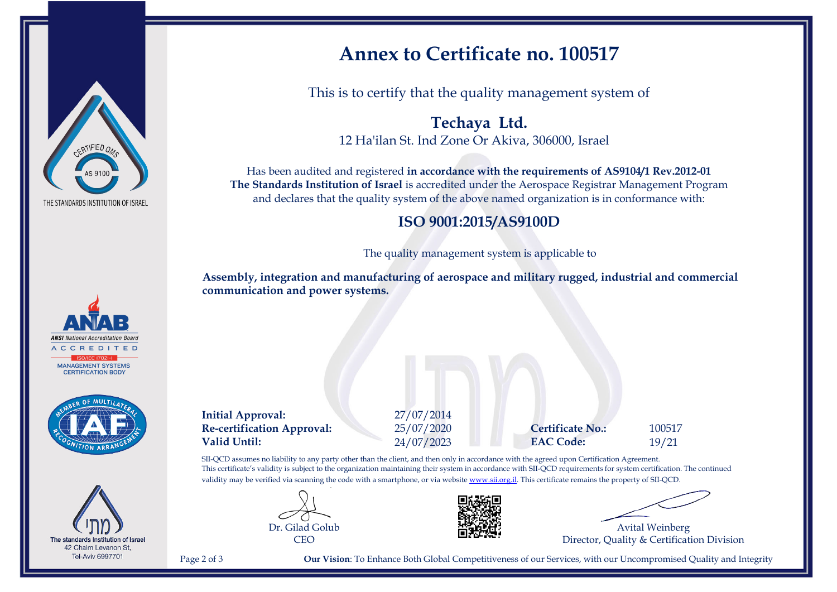





The standards Institution of Israel 42 Chaim Levanon St, **Tel-Aviv 6997701** 

## **Annex to Certificate no. 100517**

This is to certify that the quality management system of

**Techaya Ltd.** 12 Ha'ilan St. Ind Zone Or Akiva, 306000, Israel

Has been audited and registered **in accordance with the requirements of AS9104/1 Rev.2012-01 The Standards Institution of Israel** is accredited under the Aerospace Registrar Management Program and declares that the quality system of the above named organization is in conformance with:

#### **ISO 9001:2015/AS9100D**

The quality management system is applicable to

**Assembly, integration and manufacturing of aerospace and military rugged, industrial and commercial communication and power systems.**

**Initial Approval:** 27/07/2014 **Re-certification Approval:** 25/07/2020 **Certificate No.:** 100517 **Valid Until:** 24/07/2023 **EAC Code:** 19/21

SII-QCD assumes no liability to any party other than the client, and then only in accordance with the agreed upon Certification Agreement. This certificate's validity is subject to the organization maintaining their system in accordance with SII-QCD requirements for system certification. The continued validity may be verified via scanning the code with a smartphone, or via website [www.sii.org.il.](http://www.sii.org.il) This certificate remains the property of SII-QCD.





Avital Weinberg Director, Quality & Certification Division

Page 2 of 3 **Our Vision**: To Enhance Both Global Competitiveness of our Services, with our Uncompromised Quality and Integrity